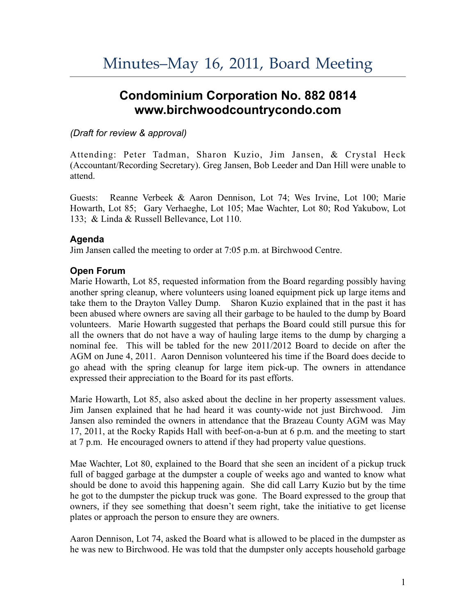# **Condominium Corporation No. 882 0814 www.birchwoodcountrycondo.com**

### *(Draft for review & approval)*

Attending: Peter Tadman, Sharon Kuzio, Jim Jansen, & Crystal Heck (Accountant/Recording Secretary). Greg Jansen, Bob Leeder and Dan Hill were unable to attend.

Guests: Reanne Verbeek & Aaron Dennison, Lot 74; Wes Irvine, Lot 100; Marie Howarth, Lot 85; Gary Verhaeghe, Lot 105; Mae Wachter, Lot 80; Rod Yakubow, Lot 133; & Linda & Russell Bellevance, Lot 110.

## **Agenda**

Jim Jansen called the meeting to order at 7:05 p.m. at Birchwood Centre.

## **Open Forum**

Marie Howarth, Lot 85, requested information from the Board regarding possibly having another spring cleanup, where volunteers using loaned equipment pick up large items and take them to the Drayton Valley Dump. Sharon Kuzio explained that in the past it has been abused where owners are saving all their garbage to be hauled to the dump by Board volunteers. Marie Howarth suggested that perhaps the Board could still pursue this for all the owners that do not have a way of hauling large items to the dump by charging a nominal fee. This will be tabled for the new 2011/2012 Board to decide on after the AGM on June 4, 2011. Aaron Dennison volunteered his time if the Board does decide to go ahead with the spring cleanup for large item pick-up. The owners in attendance expressed their appreciation to the Board for its past efforts.

Marie Howarth, Lot 85, also asked about the decline in her property assessment values. Jim Jansen explained that he had heard it was county-wide not just Birchwood. Jim Jansen also reminded the owners in attendance that the Brazeau County AGM was May 17, 2011, at the Rocky Rapids Hall with beef-on-a-bun at 6 p.m. and the meeting to start at 7 p.m. He encouraged owners to attend if they had property value questions.

Mae Wachter, Lot 80, explained to the Board that she seen an incident of a pickup truck full of bagged garbage at the dumpster a couple of weeks ago and wanted to know what should be done to avoid this happening again. She did call Larry Kuzio but by the time he got to the dumpster the pickup truck was gone. The Board expressed to the group that owners, if they see something that doesn't seem right, take the initiative to get license plates or approach the person to ensure they are owners.

Aaron Dennison, Lot 74, asked the Board what is allowed to be placed in the dumpster as he was new to Birchwood. He was told that the dumpster only accepts household garbage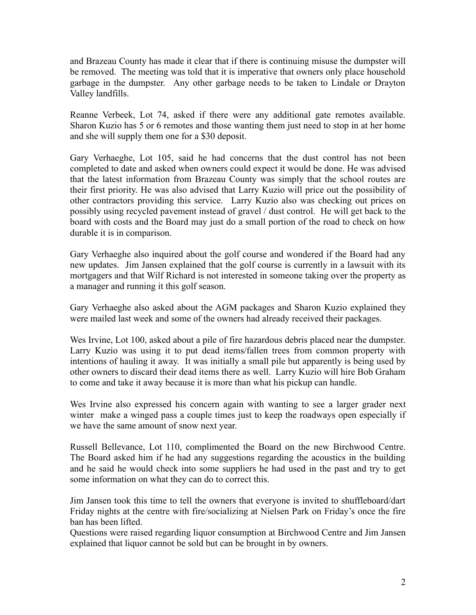and Brazeau County has made it clear that if there is continuing misuse the dumpster will be removed. The meeting was told that it is imperative that owners only place household garbage in the dumpster. Any other garbage needs to be taken to Lindale or Drayton Valley landfills.

Reanne Verbeek, Lot 74, asked if there were any additional gate remotes available. Sharon Kuzio has 5 or 6 remotes and those wanting them just need to stop in at her home and she will supply them one for a \$30 deposit.

Gary Verhaeghe, Lot 105, said he had concerns that the dust control has not been completed to date and asked when owners could expect it would be done. He was advised that the latest information from Brazeau County was simply that the school routes are their first priority. He was also advised that Larry Kuzio will price out the possibility of other contractors providing this service. Larry Kuzio also was checking out prices on possibly using recycled pavement instead of gravel / dust control. He will get back to the board with costs and the Board may just do a small portion of the road to check on how durable it is in comparison.

Gary Verhaeghe also inquired about the golf course and wondered if the Board had any new updates. Jim Jansen explained that the golf course is currently in a lawsuit with its mortgagers and that Wilf Richard is not interested in someone taking over the property as a manager and running it this golf season.

Gary Verhaeghe also asked about the AGM packages and Sharon Kuzio explained they were mailed last week and some of the owners had already received their packages.

Wes Irvine, Lot 100, asked about a pile of fire hazardous debris placed near the dumpster. Larry Kuzio was using it to put dead items/fallen trees from common property with intentions of hauling it away. It was initially a small pile but apparently is being used by other owners to discard their dead items there as well. Larry Kuzio will hire Bob Graham to come and take it away because it is more than what his pickup can handle.

Wes Irvine also expressed his concern again with wanting to see a larger grader next winter make a winged pass a couple times just to keep the roadways open especially if we have the same amount of snow next year.

Russell Bellevance, Lot 110, complimented the Board on the new Birchwood Centre. The Board asked him if he had any suggestions regarding the acoustics in the building and he said he would check into some suppliers he had used in the past and try to get some information on what they can do to correct this.

Jim Jansen took this time to tell the owners that everyone is invited to shuffleboard/dart Friday nights at the centre with fire/socializing at Nielsen Park on Friday's once the fire ban has been lifted.

Questions were raised regarding liquor consumption at Birchwood Centre and Jim Jansen explained that liquor cannot be sold but can be brought in by owners.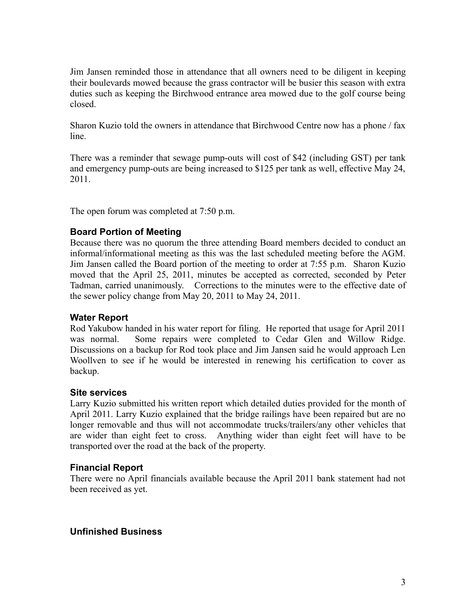Jim Jansen reminded those in attendance that all owners need to be diligent in keeping their boulevards mowed because the grass contractor will be busier this season with extra duties such as keeping the Birchwood entrance area mowed due to the golf course being closed.

Sharon Kuzio told the owners in attendance that Birchwood Centre now has a phone / fax line.

There was a reminder that sewage pump-outs will cost of \$42 (including GST) per tank and emergency pump-outs are being increased to \$125 per tank as well, effective May 24, 2011.

The open forum was completed at 7:50 p.m.

#### **Board Portion of Meeting**

Because there was no quorum the three attending Board members decided to conduct an informal/informational meeting as this was the last scheduled meeting before the AGM. Jim Jansen called the Board portion of the meeting to order at 7:55 p.m. Sharon Kuzio moved that the April 25, 2011, minutes be accepted as corrected, seconded by Peter Tadman, carried unanimously. Corrections to the minutes were to the effective date of the sewer policy change from May 20, 2011 to May 24, 2011.

#### **Water Report**

Rod Yakubow handed in his water report for filing. He reported that usage for April 2011 was normal. Some repairs were completed to Cedar Glen and Willow Ridge. Discussions on a backup for Rod took place and Jim Jansen said he would approach Len Woollven to see if he would be interested in renewing his certification to cover as backup.

#### **Site services**

Larry Kuzio submitted his written report which detailed duties provided for the month of April 2011. Larry Kuzio explained that the bridge railings have been repaired but are no longer removable and thus will not accommodate trucks/trailers/any other vehicles that are wider than eight feet to cross. Anything wider than eight feet will have to be transported over the road at the back of the property.

## **Financial Report**

There were no April financials available because the April 2011 bank statement had not been received as yet.

## **Unfinished Business**